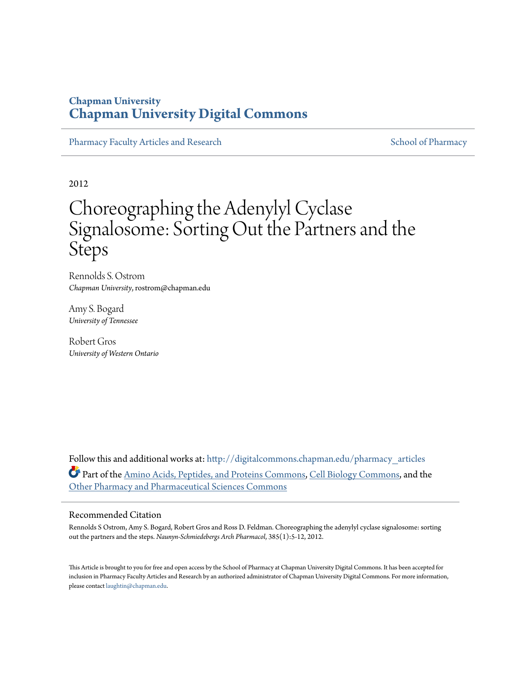### **Chapman University [Chapman University Digital Commons](http://digitalcommons.chapman.edu?utm_source=digitalcommons.chapman.edu%2Fpharmacy_articles%2F385&utm_medium=PDF&utm_campaign=PDFCoverPages)**

[Pharmacy Faculty Articles and Research](http://digitalcommons.chapman.edu/pharmacy_articles?utm_source=digitalcommons.chapman.edu%2Fpharmacy_articles%2F385&utm_medium=PDF&utm_campaign=PDFCoverPages) [School of Pharmacy](http://digitalcommons.chapman.edu/cusp?utm_source=digitalcommons.chapman.edu%2Fpharmacy_articles%2F385&utm_medium=PDF&utm_campaign=PDFCoverPages) Faculty Articles and Research School of Pharmacy

2012

# Choreographing the Adenylyl Cyclase Signalosome: Sorting Out the Partners and the Steps

Rennolds S. Ostrom *Chapman University*, rostrom@chapman.edu

Amy S. Bogard *University of Tennessee*

Robert Gros *University of Western Ontario*

Follow this and additional works at: [http://digitalcommons.chapman.edu/pharmacy\\_articles](http://digitalcommons.chapman.edu/pharmacy_articles?utm_source=digitalcommons.chapman.edu%2Fpharmacy_articles%2F385&utm_medium=PDF&utm_campaign=PDFCoverPages) Part of the [Amino Acids, Peptides, and Proteins Commons](http://network.bepress.com/hgg/discipline/954?utm_source=digitalcommons.chapman.edu%2Fpharmacy_articles%2F385&utm_medium=PDF&utm_campaign=PDFCoverPages), [Cell Biology Commons,](http://network.bepress.com/hgg/discipline/10?utm_source=digitalcommons.chapman.edu%2Fpharmacy_articles%2F385&utm_medium=PDF&utm_campaign=PDFCoverPages) and the [Other Pharmacy and Pharmaceutical Sciences Commons](http://network.bepress.com/hgg/discipline/737?utm_source=digitalcommons.chapman.edu%2Fpharmacy_articles%2F385&utm_medium=PDF&utm_campaign=PDFCoverPages)

#### Recommended Citation

Rennolds S Ostrom, Amy S. Bogard, Robert Gros and Ross D. Feldman. Choreographing the adenylyl cyclase signalosome: sorting out the partners and the steps. *Naunyn-Schmiedebergs Arch Pharmacol*, 385(1):5-12, 2012.

This Article is brought to you for free and open access by the School of Pharmacy at Chapman University Digital Commons. It has been accepted for inclusion in Pharmacy Faculty Articles and Research by an authorized administrator of Chapman University Digital Commons. For more information, please contact [laughtin@chapman.edu.](mailto:laughtin@chapman.edu)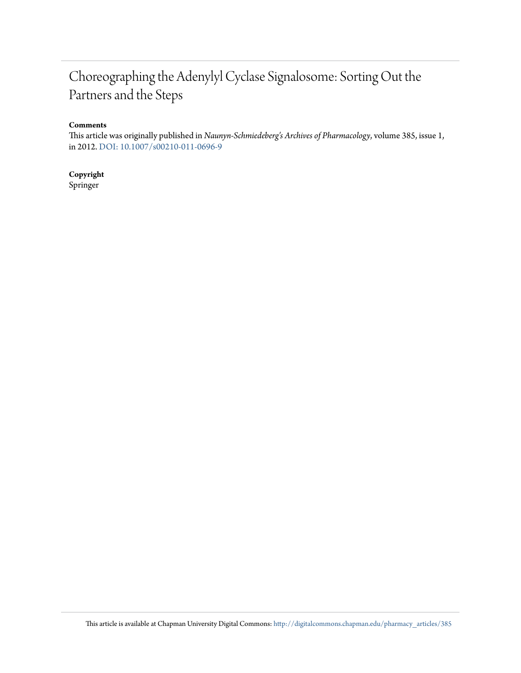# Choreographing the Adenylyl Cyclase Signalosome: Sorting Out the Partners and the Steps

#### **Comments**

This article was originally published in *Naunyn-Schmiedeberg's Archives of Pharmacology*, volume 385, issue 1, in 2012. [DOI: 10.1007/s00210-011-0696-9](http://dx.doi.org/10.1007/s00210-011-0696-9)

### **Copyright**

Springer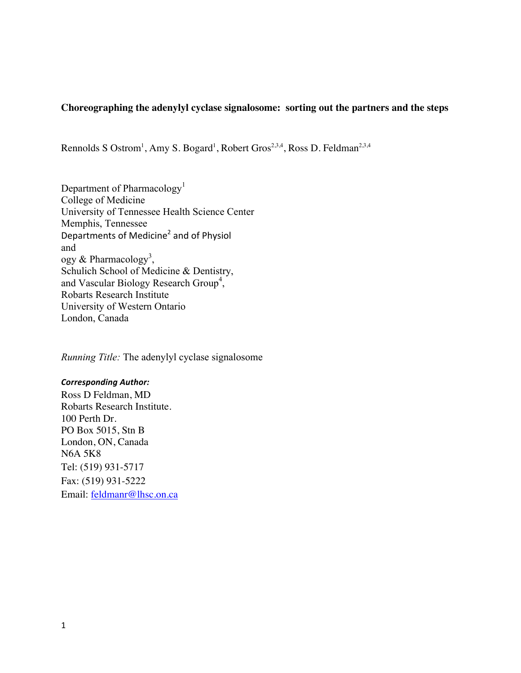### **Choreographing the adenylyl cyclase signalosome: sorting out the partners and the steps**

Rennolds S Ostrom<sup>1</sup>, Amy S. Bogard<sup>1</sup>, Robert Gros<sup>2,3,4</sup>, Ross D. Feldman<sup>2,3,4</sup>

Department of Pharmacology<sup>1</sup> College of Medicine University of Tennessee Health Science Center Memphis, Tennessee Departments of Medicine<sup>2</sup> and of Physiol and ogy & Pharmacology<sup>3</sup>, Schulich School of Medicine & Dentistry, and Vascular Biology Research Group<sup>4</sup>, Robarts Research Institute University of Western Ontario London, Canada

*Running Title:* The adenylyl cyclase signalosome

#### *Corresponding Author:*

Ross D Feldman, MD Robarts Research Institute. 100 Perth Dr. PO Box 5015, Stn B London, ON, Canada N6A 5K8 Tel: (519) 931-5717 Fax: (519) 931-5222 Email: feldmanr@lhsc.on.ca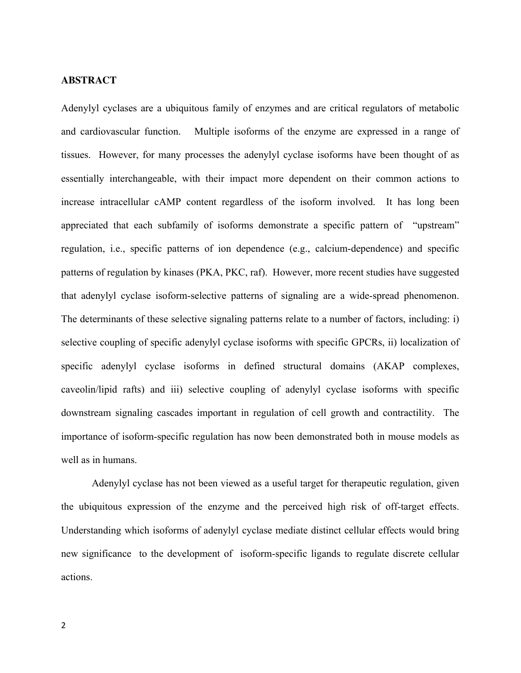#### **ABSTRACT**

Adenylyl cyclases are a ubiquitous family of enzymes and are critical regulators of metabolic and cardiovascular function. Multiple isoforms of the enzyme are expressed in a range of tissues. However, for many processes the adenylyl cyclase isoforms have been thought of as essentially interchangeable, with their impact more dependent on their common actions to increase intracellular cAMP content regardless of the isoform involved. It has long been appreciated that each subfamily of isoforms demonstrate a specific pattern of "upstream" regulation, i.e., specific patterns of ion dependence (e.g., calcium-dependence) and specific patterns of regulation by kinases (PKA, PKC, raf). However, more recent studies have suggested that adenylyl cyclase isoform-selective patterns of signaling are a wide-spread phenomenon. The determinants of these selective signaling patterns relate to a number of factors, including: i) selective coupling of specific adenylyl cyclase isoforms with specific GPCRs, ii) localization of specific adenylyl cyclase isoforms in defined structural domains (AKAP complexes, caveolin/lipid rafts) and iii) selective coupling of adenylyl cyclase isoforms with specific downstream signaling cascades important in regulation of cell growth and contractility. The importance of isoform-specific regulation has now been demonstrated both in mouse models as well as in humans.

Adenylyl cyclase has not been viewed as a useful target for therapeutic regulation, given the ubiquitous expression of the enzyme and the perceived high risk of off-target effects. Understanding which isoforms of adenylyl cyclase mediate distinct cellular effects would bring new significance to the development of isoform-specific ligands to regulate discrete cellular actions.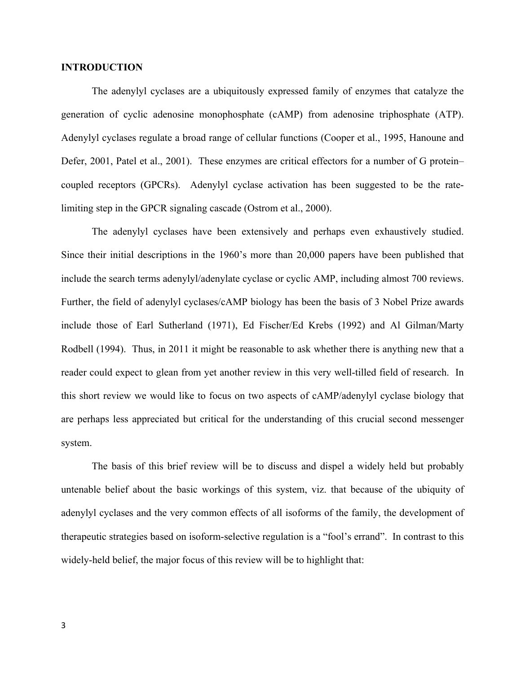#### **INTRODUCTION**

The adenylyl cyclases are a ubiquitously expressed family of enzymes that catalyze the generation of cyclic adenosine monophosphate (cAMP) from adenosine triphosphate (ATP). Adenylyl cyclases regulate a broad range of cellular functions (Cooper et al., 1995, Hanoune and Defer, 2001, Patel et al., 2001). These enzymes are critical effectors for a number of G protein– coupled receptors (GPCRs). Adenylyl cyclase activation has been suggested to be the ratelimiting step in the GPCR signaling cascade (Ostrom et al., 2000).

The adenylyl cyclases have been extensively and perhaps even exhaustively studied. Since their initial descriptions in the 1960's more than 20,000 papers have been published that include the search terms adenylyl/adenylate cyclase or cyclic AMP, including almost 700 reviews. Further, the field of adenylyl cyclases/cAMP biology has been the basis of 3 Nobel Prize awards include those of Earl Sutherland (1971), Ed Fischer/Ed Krebs (1992) and Al Gilman/Marty Rodbell (1994). Thus, in 2011 it might be reasonable to ask whether there is anything new that a reader could expect to glean from yet another review in this very well-tilled field of research. In this short review we would like to focus on two aspects of cAMP/adenylyl cyclase biology that are perhaps less appreciated but critical for the understanding of this crucial second messenger system.

The basis of this brief review will be to discuss and dispel a widely held but probably untenable belief about the basic workings of this system, viz. that because of the ubiquity of adenylyl cyclases and the very common effects of all isoforms of the family, the development of therapeutic strategies based on isoform-selective regulation is a "fool's errand". In contrast to this widely-held belief, the major focus of this review will be to highlight that: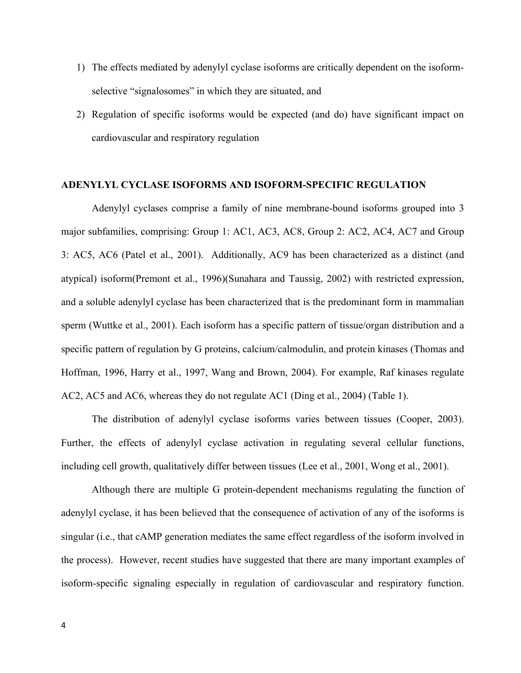- 1) The effects mediated by adenylyl cyclase isoforms are critically dependent on the isoformselective "signalosomes" in which they are situated, and
- 2) Regulation of specific isoforms would be expected (and do) have significant impact on cardiovascular and respiratory regulation

#### **ADENYLYL CYCLASE ISOFORMS AND ISOFORM-SPECIFIC REGULATION**

Adenylyl cyclases comprise a family of nine membrane-bound isoforms grouped into 3 major subfamilies, comprising: Group 1: AC1, AC3, AC8, Group 2: AC2, AC4, AC7 and Group 3: AC5, AC6 (Patel et al., 2001). Additionally, AC9 has been characterized as a distinct (and atypical) isoform(Premont et al., 1996)(Sunahara and Taussig, 2002) with restricted expression, and a soluble adenylyl cyclase has been characterized that is the predominant form in mammalian sperm (Wuttke et al., 2001). Each isoform has a specific pattern of tissue/organ distribution and a specific pattern of regulation by G proteins, calcium/calmodulin, and protein kinases (Thomas and Hoffman, 1996, Harry et al., 1997, Wang and Brown, 2004). For example, Raf kinases regulate AC2, AC5 and AC6, whereas they do not regulate AC1 (Ding et al., 2004) (Table 1).

 The distribution of adenylyl cyclase isoforms varies between tissues (Cooper, 2003). Further, the effects of adenylyl cyclase activation in regulating several cellular functions, including cell growth, qualitatively differ between tissues (Lee et al., 2001, Wong et al., 2001).

Although there are multiple G protein-dependent mechanisms regulating the function of adenylyl cyclase, it has been believed that the consequence of activation of any of the isoforms is singular (i.e., that cAMP generation mediates the same effect regardless of the isoform involved in the process). However, recent studies have suggested that there are many important examples of isoform-specific signaling especially in regulation of cardiovascular and respiratory function.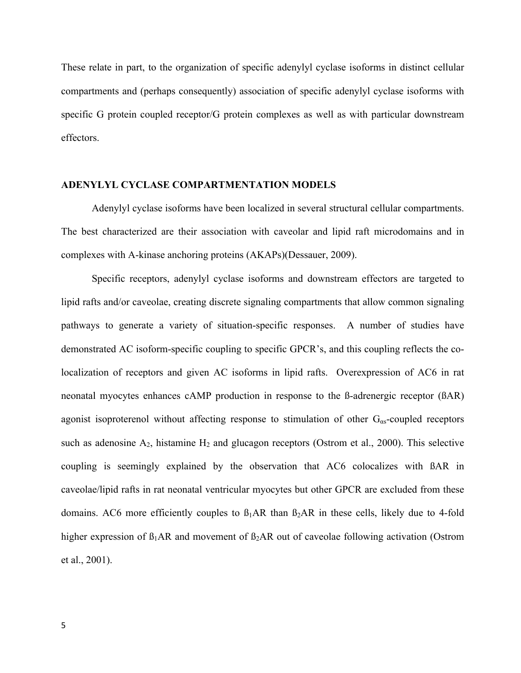These relate in part, to the organization of specific adenylyl cyclase isoforms in distinct cellular compartments and (perhaps consequently) association of specific adenylyl cyclase isoforms with specific G protein coupled receptor/G protein complexes as well as with particular downstream effectors.

#### **ADENYLYL CYCLASE COMPARTMENTATION MODELS**

Adenylyl cyclase isoforms have been localized in several structural cellular compartments. The best characterized are their association with caveolar and lipid raft microdomains and in complexes with A-kinase anchoring proteins (AKAPs)(Dessauer, 2009).

Specific receptors, adenylyl cyclase isoforms and downstream effectors are targeted to lipid rafts and/or caveolae, creating discrete signaling compartments that allow common signaling pathways to generate a variety of situation-specific responses. A number of studies have demonstrated AC isoform-specific coupling to specific GPCR's, and this coupling reflects the colocalization of receptors and given AC isoforms in lipid rafts. Overexpression of AC6 in rat neonatal myocytes enhances cAMP production in response to the ß-adrenergic receptor (ßAR) agonist isoproterenol without affecting response to stimulation of other  $G_{as}$ -coupled receptors such as adenosine  $A_2$ , histamine  $H_2$  and glucagon receptors (Ostrom et al., 2000). This selective coupling is seemingly explained by the observation that AC6 colocalizes with ßAR in caveolae/lipid rafts in rat neonatal ventricular myocytes but other GPCR are excluded from these domains. AC6 more efficiently couples to  $\beta_1AR$  than  $\beta_2AR$  in these cells, likely due to 4-fold higher expression of  $\beta_1AR$  and movement of  $\beta_2AR$  out of caveolae following activation (Ostrom et al., 2001).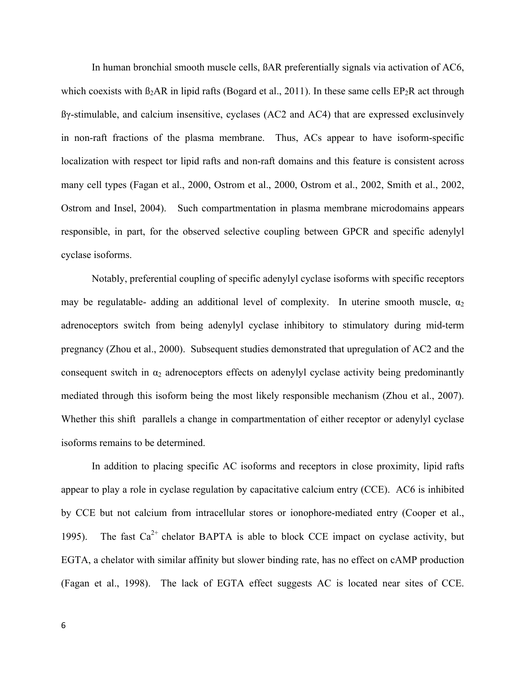In human bronchial smooth muscle cells, ßAR preferentially signals via activation of AC6, which coexists with  $\beta_2AR$  in lipid rafts (Bogard et al., 2011). In these same cells  $EP_2R$  act through ßγ-stimulable, and calcium insensitive, cyclases (AC2 and AC4) that are expressed exclusinvely in non-raft fractions of the plasma membrane. Thus, ACs appear to have isoform-specific localization with respect tor lipid rafts and non-raft domains and this feature is consistent across many cell types (Fagan et al., 2000, Ostrom et al., 2000, Ostrom et al., 2002, Smith et al., 2002, Ostrom and Insel, 2004). Such compartmentation in plasma membrane microdomains appears responsible, in part, for the observed selective coupling between GPCR and specific adenylyl cyclase isoforms.

Notably, preferential coupling of specific adenylyl cyclase isoforms with specific receptors may be regulatable- adding an additional level of complexity. In uterine smooth muscle,  $\alpha_2$ adrenoceptors switch from being adenylyl cyclase inhibitory to stimulatory during mid-term pregnancy (Zhou et al., 2000). Subsequent studies demonstrated that upregulation of AC2 and the consequent switch in  $\alpha_2$  adrenoceptors effects on adenylyl cyclase activity being predominantly mediated through this isoform being the most likely responsible mechanism (Zhou et al., 2007). Whether this shift parallels a change in compartmentation of either receptor or adenylyl cyclase isoforms remains to be determined.

In addition to placing specific AC isoforms and receptors in close proximity, lipid rafts appear to play a role in cyclase regulation by capacitative calcium entry (CCE). AC6 is inhibited by CCE but not calcium from intracellular stores or ionophore-mediated entry (Cooper et al., 1995). The fast  $Ca^{2+}$  chelator BAPTA is able to block CCE impact on cyclase activity, but EGTA, a chelator with similar affinity but slower binding rate, has no effect on cAMP production (Fagan et al., 1998). The lack of EGTA effect suggests AC is located near sites of CCE.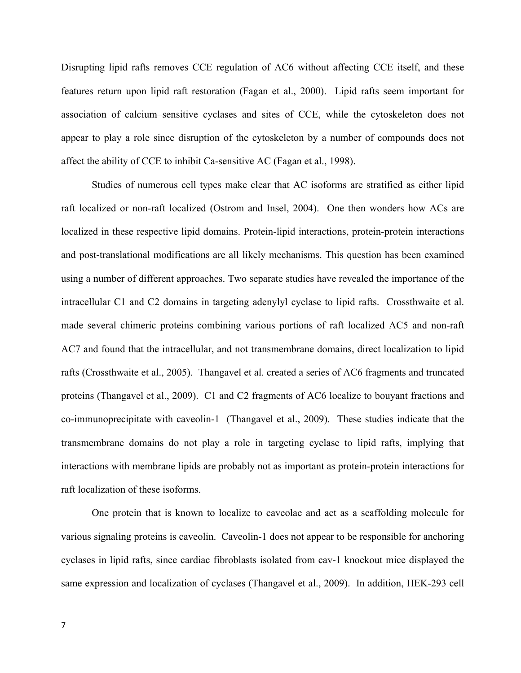Disrupting lipid rafts removes CCE regulation of AC6 without affecting CCE itself, and these features return upon lipid raft restoration (Fagan et al., 2000). Lipid rafts seem important for association of calcium–sensitive cyclases and sites of CCE, while the cytoskeleton does not appear to play a role since disruption of the cytoskeleton by a number of compounds does not affect the ability of CCE to inhibit Ca-sensitive AC (Fagan et al., 1998).

Studies of numerous cell types make clear that AC isoforms are stratified as either lipid raft localized or non-raft localized (Ostrom and Insel, 2004). One then wonders how ACs are localized in these respective lipid domains. Protein-lipid interactions, protein-protein interactions and post-translational modifications are all likely mechanisms. This question has been examined using a number of different approaches. Two separate studies have revealed the importance of the intracellular C1 and C2 domains in targeting adenylyl cyclase to lipid rafts. Crossthwaite et al. made several chimeric proteins combining various portions of raft localized AC5 and non-raft AC7 and found that the intracellular, and not transmembrane domains, direct localization to lipid rafts (Crossthwaite et al., 2005). Thangavel et al. created a series of AC6 fragments and truncated proteins (Thangavel et al., 2009). C1 and C2 fragments of AC6 localize to bouyant fractions and co-immunoprecipitate with caveolin-1 (Thangavel et al., 2009). These studies indicate that the transmembrane domains do not play a role in targeting cyclase to lipid rafts, implying that interactions with membrane lipids are probably not as important as protein-protein interactions for raft localization of these isoforms.

One protein that is known to localize to caveolae and act as a scaffolding molecule for various signaling proteins is caveolin. Caveolin-1 does not appear to be responsible for anchoring cyclases in lipid rafts, since cardiac fibroblasts isolated from cav-1 knockout mice displayed the same expression and localization of cyclases (Thangavel et al., 2009). In addition, HEK-293 cell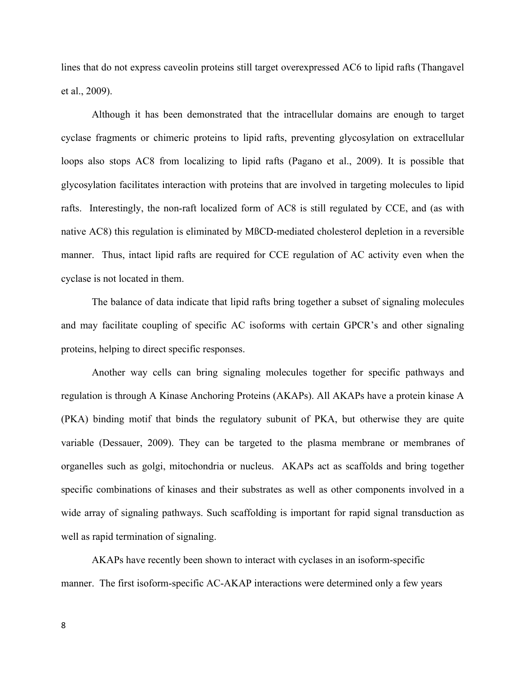lines that do not express caveolin proteins still target overexpressed AC6 to lipid rafts (Thangavel et al., 2009).

Although it has been demonstrated that the intracellular domains are enough to target cyclase fragments or chimeric proteins to lipid rafts, preventing glycosylation on extracellular loops also stops AC8 from localizing to lipid rafts (Pagano et al., 2009). It is possible that glycosylation facilitates interaction with proteins that are involved in targeting molecules to lipid rafts. Interestingly, the non-raft localized form of AC8 is still regulated by CCE, and (as with native AC8) this regulation is eliminated by MßCD-mediated cholesterol depletion in a reversible manner. Thus, intact lipid rafts are required for CCE regulation of AC activity even when the cyclase is not located in them.

The balance of data indicate that lipid rafts bring together a subset of signaling molecules and may facilitate coupling of specific AC isoforms with certain GPCR's and other signaling proteins, helping to direct specific responses.

Another way cells can bring signaling molecules together for specific pathways and regulation is through A Kinase Anchoring Proteins (AKAPs). All AKAPs have a protein kinase A (PKA) binding motif that binds the regulatory subunit of PKA, but otherwise they are quite variable (Dessauer, 2009). They can be targeted to the plasma membrane or membranes of organelles such as golgi, mitochondria or nucleus. AKAPs act as scaffolds and bring together specific combinations of kinases and their substrates as well as other components involved in a wide array of signaling pathways. Such scaffolding is important for rapid signal transduction as well as rapid termination of signaling.

AKAPs have recently been shown to interact with cyclases in an isoform-specific manner. The first isoform-specific AC-AKAP interactions were determined only a few years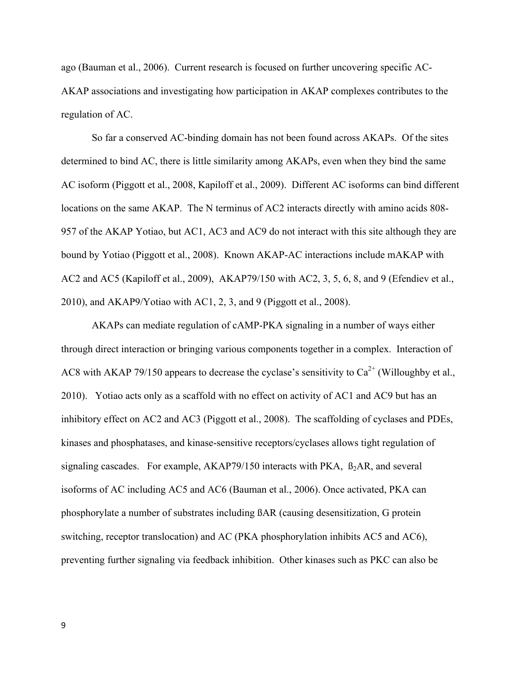ago (Bauman et al., 2006). Current research is focused on further uncovering specific AC-AKAP associations and investigating how participation in AKAP complexes contributes to the regulation of AC.

So far a conserved AC-binding domain has not been found across AKAPs. Of the sites determined to bind AC, there is little similarity among AKAPs, even when they bind the same AC isoform (Piggott et al., 2008, Kapiloff et al., 2009). Different AC isoforms can bind different locations on the same AKAP. The N terminus of AC2 interacts directly with amino acids 808- 957 of the AKAP Yotiao, but AC1, AC3 and AC9 do not interact with this site although they are bound by Yotiao (Piggott et al., 2008). Known AKAP-AC interactions include mAKAP with AC2 and AC5 (Kapiloff et al., 2009), AKAP79/150 with AC2, 3, 5, 6, 8, and 9 (Efendiev et al., 2010), and AKAP9/Yotiao with AC1, 2, 3, and 9 (Piggott et al., 2008).

AKAPs can mediate regulation of cAMP-PKA signaling in a number of ways either through direct interaction or bringing various components together in a complex. Interaction of AC8 with AKAP 79/150 appears to decrease the cyclase's sensitivity to  $Ca^{2+}$  (Willoughby et al., 2010). Yotiao acts only as a scaffold with no effect on activity of AC1 and AC9 but has an inhibitory effect on AC2 and AC3 (Piggott et al., 2008). The scaffolding of cyclases and PDEs, kinases and phosphatases, and kinase-sensitive receptors/cyclases allows tight regulation of signaling cascades. For example,  $AKAP79/150$  interacts with PKA,  $\beta_2AR$ , and several isoforms of AC including AC5 and AC6 (Bauman et al., 2006). Once activated, PKA can phosphorylate a number of substrates including ßAR (causing desensitization, G protein switching, receptor translocation) and AC (PKA phosphorylation inhibits AC5 and AC6), preventing further signaling via feedback inhibition. Other kinases such as PKC can also be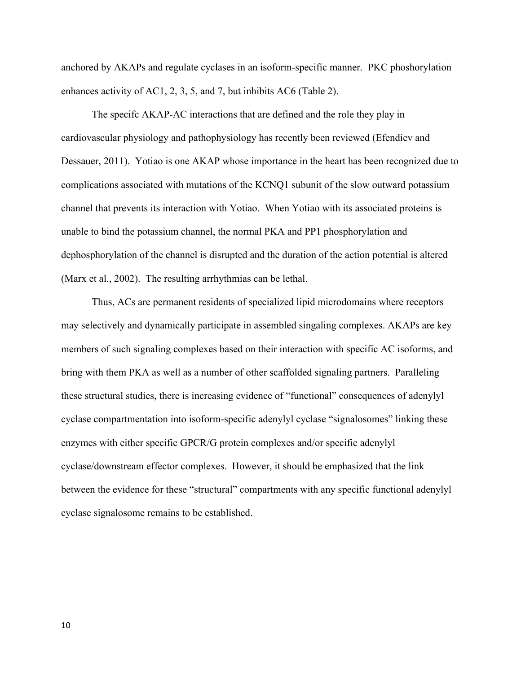anchored by AKAPs and regulate cyclases in an isoform-specific manner. PKC phoshorylation enhances activity of AC1, 2, 3, 5, and 7, but inhibits AC6 (Table 2).

The specifc AKAP-AC interactions that are defined and the role they play in cardiovascular physiology and pathophysiology has recently been reviewed (Efendiev and Dessauer, 2011).Yotiao is one AKAP whose importance in the heart has been recognized due to complications associated with mutations of the KCNQ1 subunit of the slow outward potassium channel that prevents its interaction with Yotiao. When Yotiao with its associated proteins is unable to bind the potassium channel, the normal PKA and PP1 phosphorylation and dephosphorylation of the channel is disrupted and the duration of the action potential is altered (Marx et al., 2002). The resulting arrhythmias can be lethal.

Thus, ACs are permanent residents of specialized lipid microdomains where receptors may selectively and dynamically participate in assembled singaling complexes. AKAPs are key members of such signaling complexes based on their interaction with specific AC isoforms, and bring with them PKA as well as a number of other scaffolded signaling partners. Paralleling these structural studies, there is increasing evidence of "functional" consequences of adenylyl cyclase compartmentation into isoform-specific adenylyl cyclase "signalosomes" linking these enzymes with either specific GPCR/G protein complexes and/or specific adenylyl cyclase/downstream effector complexes. However, it should be emphasized that the link between the evidence for these "structural" compartments with any specific functional adenylyl cyclase signalosome remains to be established.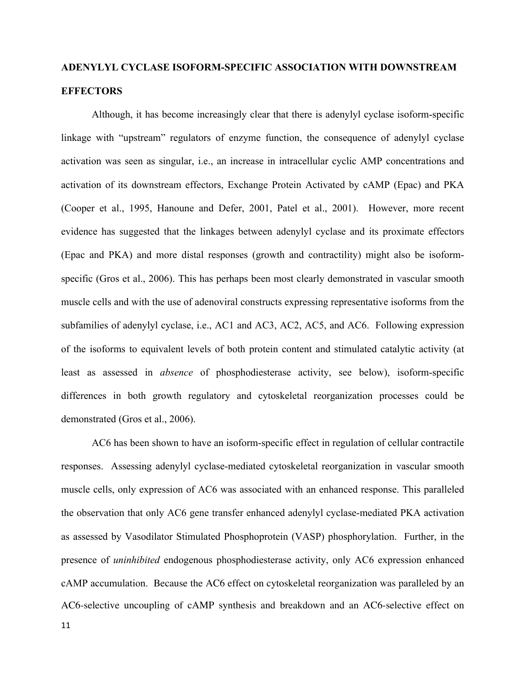# **ADENYLYL CYCLASE ISOFORM-SPECIFIC ASSOCIATION WITH DOWNSTREAM EFFECTORS**

Although, it has become increasingly clear that there is adenylyl cyclase isoform-specific linkage with "upstream" regulators of enzyme function, the consequence of adenylyl cyclase activation was seen as singular, i.e., an increase in intracellular cyclic AMP concentrations and activation of its downstream effectors, Exchange Protein Activated by cAMP (Epac) and PKA (Cooper et al., 1995, Hanoune and Defer, 2001, Patel et al., 2001). However, more recent evidence has suggested that the linkages between adenylyl cyclase and its proximate effectors (Epac and PKA) and more distal responses (growth and contractility) might also be isoformspecific (Gros et al., 2006). This has perhaps been most clearly demonstrated in vascular smooth muscle cells and with the use of adenoviral constructs expressing representative isoforms from the subfamilies of adenylyl cyclase, i.e., AC1 and AC3, AC2, AC5, and AC6. Following expression of the isoforms to equivalent levels of both protein content and stimulated catalytic activity (at least as assessed in *absence* of phosphodiesterase activity, see below), isoform-specific differences in both growth regulatory and cytoskeletal reorganization processes could be demonstrated (Gros et al., 2006).

AC6 has been shown to have an isoform-specific effect in regulation of cellular contractile responses. Assessing adenylyl cyclase-mediated cytoskeletal reorganization in vascular smooth muscle cells, only expression of AC6 was associated with an enhanced response. This paralleled the observation that only AC6 gene transfer enhanced adenylyl cyclase-mediated PKA activation as assessed by Vasodilator Stimulated Phosphoprotein (VASP) phosphorylation. Further, in the presence of *uninhibited* endogenous phosphodiesterase activity, only AC6 expression enhanced cAMP accumulation. Because the AC6 effect on cytoskeletal reorganization was paralleled by an AC6-selective uncoupling of cAMP synthesis and breakdown and an AC6-selective effect on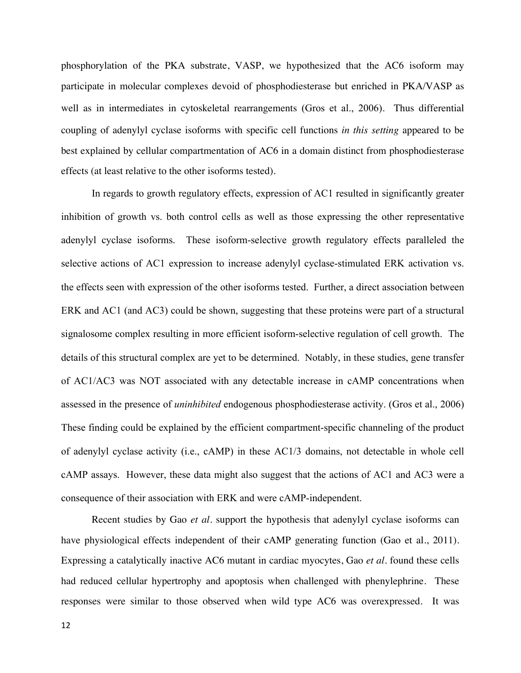phosphorylation of the PKA substrate, VASP, we hypothesized that the AC6 isoform may participate in molecular complexes devoid of phosphodiesterase but enriched in PKA/VASP as well as in intermediates in cytoskeletal rearrangements (Gros et al., 2006). Thus differential coupling of adenylyl cyclase isoforms with specific cell functions *in this setting* appeared to be best explained by cellular compartmentation of AC6 in a domain distinct from phosphodiesterase effects (at least relative to the other isoforms tested).

In regards to growth regulatory effects, expression of AC1 resulted in significantly greater inhibition of growth vs. both control cells as well as those expressing the other representative adenylyl cyclase isoforms. These isoform-selective growth regulatory effects paralleled the selective actions of AC1 expression to increase adenylyl cyclase-stimulated ERK activation vs. the effects seen with expression of the other isoforms tested. Further, a direct association between ERK and AC1 (and AC3) could be shown, suggesting that these proteins were part of a structural signalosome complex resulting in more efficient isoform-selective regulation of cell growth. The details of this structural complex are yet to be determined. Notably, in these studies, gene transfer of AC1/AC3 was NOT associated with any detectable increase in cAMP concentrations when assessed in the presence of *uninhibited* endogenous phosphodiesterase activity. (Gros et al., 2006) These finding could be explained by the efficient compartment-specific channeling of the product of adenylyl cyclase activity (i.e., cAMP) in these AC1/3 domains, not detectable in whole cell cAMP assays. However, these data might also suggest that the actions of AC1 and AC3 were a consequence of their association with ERK and were cAMP-independent.

Recent studies by Gao *et al.* support the hypothesis that adenylyl cyclase isoforms can have physiological effects independent of their cAMP generating function (Gao et al., 2011). Expressing a catalytically inactive AC6 mutant in cardiac myocytes, Gao *et al.* found these cells had reduced cellular hypertrophy and apoptosis when challenged with phenylephrine. These responses were similar to those observed when wild type AC6 was overexpressed. It was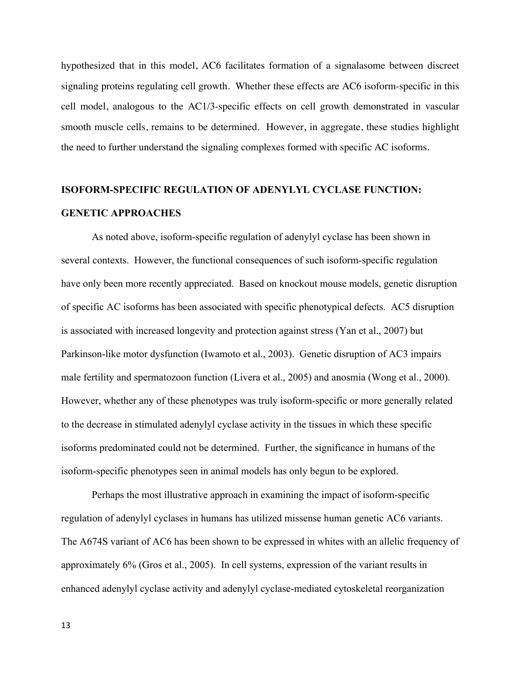hypothesized that in this model, AC6 facilitates formation of a signalasome between discreet signaling proteins regulating cell growth. Whether these effects are AC6 isoform-specific in this cell model, analogous to the AC1/3-specific effects on cell growth demonstrated in vascular smooth muscle cells, remains to be determined. However, in aggregate, these studies highlight the need to further understand the signaling complexes formed with specific AC isoforms.

## **ISOFORM-SPECIFIC REGULATION OF ADENYLYL CYCLASE FUNCTION: GENETIC APPROACHES**

As noted above, isoform-specific regulation of adenylyl cyclase has been shown in several contexts. However, the functional consequences of such isoform-specific regulation have only been more recently appreciated. Based on knockout mouse models, genetic disruption of specific AC isoforms has been associated with specific phenotypical defects. AC5 disruption is associated with increased longevity and protection against stress (Yan et al., 2007) but Parkinson-like motor dysfunction (Iwamoto et al., 2003). Genetic disruption of AC3 impairs male fertility and spermatozoon function (Livera et al., 2005) and anosmia (Wong et al., 2000). However, whether any of these phenotypes was truly isoform-specific or more generally related to the decrease in stimulated adenylyl cyclase activity in the tissues in which these specific isoforms predominated could not be determined. Further, the significance in humans of the isoform-specific phenotypes seen in animal models has only begun to be explored.

Perhaps the most illustrative approach in examining the impact of isoform-specific regulation of adenylyl cyclases in humans has utilized missense human genetic AC6 variants. The A674S variant of AC6 has been shown to be expressed in whites with an allelic frequency of approximately 6% (Gros et al., 2005). In cell systems, expression of the variant results in enhanced adenylyl cyclase activity and adenylyl cyclase-mediated cytoskeletal reorganization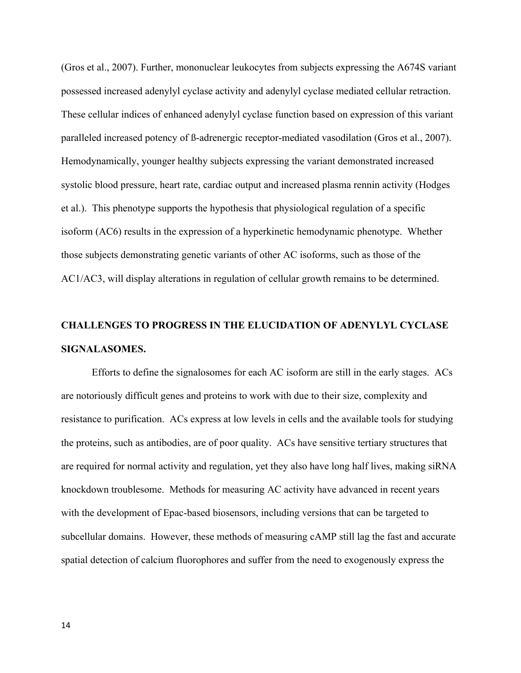(Gros et al., 2007). Further, mononuclear leukocytes from subjects expressing the A674S variant possessed increased adenylyl cyclase activity and adenylyl cyclase mediated cellular retraction. These cellular indices of enhanced adenylyl cyclase function based on expression of this variant paralleled increased potency of ß-adrenergic receptor-mediated vasodilation (Gros et al., 2007). Hemodynamically, younger healthy subjects expressing the variant demonstrated increased systolic blood pressure, heart rate, cardiac output and increased plasma rennin activity (Hodges et al.). This phenotype supports the hypothesis that physiological regulation of a specific isoform (AC6) results in the expression of a hyperkinetic hemodynamic phenotype. Whether those subjects demonstrating genetic variants of other AC isoforms, such as those of the AC1/AC3, will display alterations in regulation of cellular growth remains to be determined.

# **CHALLENGES TO PROGRESS IN THE ELUCIDATION OF ADENYLYL CYCLASE SIGNALASOMES.**

Efforts to define the signalosomes for each AC isoform are still in the early stages. ACs are notoriously difficult genes and proteins to work with due to their size, complexity and resistance to purification. ACs express at low levels in cells and the available tools for studying the proteins, such as antibodies, are of poor quality. ACs have sensitive tertiary structures that are required for normal activity and regulation, yet they also have long half lives, making siRNA knockdown troublesome. Methods for measuring AC activity have advanced in recent years with the development of Epac-based biosensors, including versions that can be targeted to subcellular domains. However, these methods of measuring cAMP still lag the fast and accurate spatial detection of calcium fluorophores and suffer from the need to exogenously express the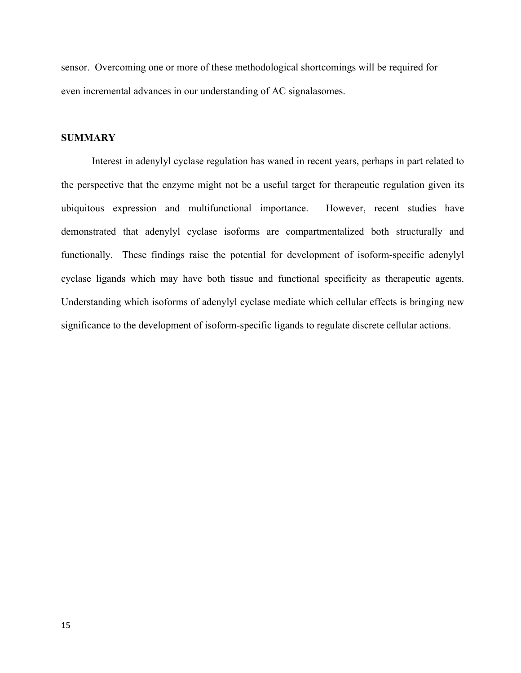sensor. Overcoming one or more of these methodological shortcomings will be required for even incremental advances in our understanding of AC signalasomes.

### **SUMMARY**

Interest in adenylyl cyclase regulation has waned in recent years, perhaps in part related to the perspective that the enzyme might not be a useful target for therapeutic regulation given its ubiquitous expression and multifunctional importance. However, recent studies have demonstrated that adenylyl cyclase isoforms are compartmentalized both structurally and functionally. These findings raise the potential for development of isoform-specific adenylyl cyclase ligands which may have both tissue and functional specificity as therapeutic agents. Understanding which isoforms of adenylyl cyclase mediate which cellular effects is bringing new significance to the development of isoform-specific ligands to regulate discrete cellular actions.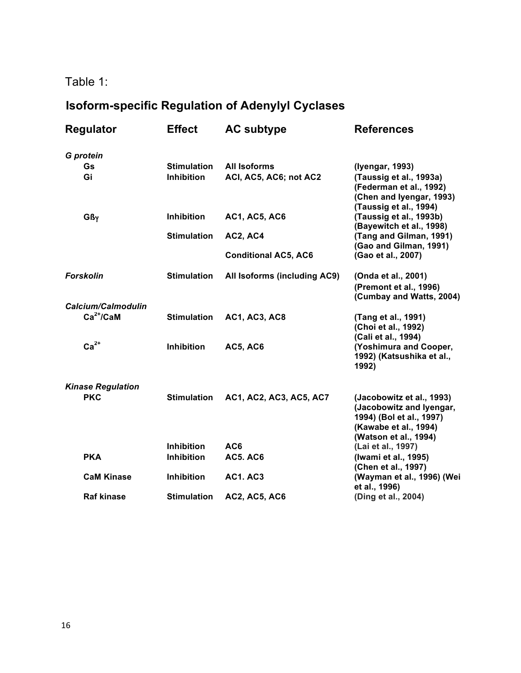### Table 1:

# **Isoform-specific Regulation of Adenylyl Cyclases**

| <b>Regulator</b>         | <b>Effect</b>      | <b>AC subtype</b>            | <b>References</b>                                                                                                                   |
|--------------------------|--------------------|------------------------------|-------------------------------------------------------------------------------------------------------------------------------------|
| G protein                |                    |                              |                                                                                                                                     |
| Gs                       | <b>Stimulation</b> | All Isoforms                 | (Iyengar, 1993)                                                                                                                     |
| Gi                       | Inhibition         | ACI, AC5, AC6; not AC2       | (Taussig et al., 1993a)<br>(Federman et al., 1992)<br>(Chen and Iyengar, 1993)<br>(Taussig et al., 1994)                            |
| $G\beta\gamma$           | Inhibition         | <b>AC1, AC5, AC6</b>         | (Taussig et al., 1993b)<br>(Bayewitch et al., 1998)                                                                                 |
|                          | <b>Stimulation</b> | AC2, AC4                     | (Tang and Gilman, 1991)<br>(Gao and Gilman, 1991)                                                                                   |
|                          |                    | <b>Conditional AC5, AC6</b>  | (Gao et al., 2007)                                                                                                                  |
| <b>Forskolin</b>         | <b>Stimulation</b> | All Isoforms (including AC9) | (Onda et al., 2001)<br>(Premont et al., 1996)<br>(Cumbay and Watts, 2004)                                                           |
| Calcium/Calmodulin       |                    |                              |                                                                                                                                     |
| $Ca2+/CaM$               | <b>Stimulation</b> | <b>AC1, AC3, AC8</b>         | (Tang et al., 1991)<br>(Choi et al., 1992)<br>(Cali et al., 1994)                                                                   |
| $Ca2+$                   | Inhibition         | <b>AC5, AC6</b>              | (Yoshimura and Cooper,<br>1992) (Katsushika et al.,<br>1992)                                                                        |
| <b>Kinase Regulation</b> |                    |                              |                                                                                                                                     |
| <b>PKC</b>               | <b>Stimulation</b> | AC1, AC2, AC3, AC5, AC7      | (Jacobowitz et al., 1993)<br>(Jacobowitz and Iyengar,<br>1994) (Bol et al., 1997)<br>(Kawabe et al., 1994)<br>(Watson et al., 1994) |
|                          | <b>Inhibition</b>  | AC6                          | (Lai et al., 1997)                                                                                                                  |
| <b>PKA</b>               | <b>Inhibition</b>  | <b>AC5. AC6</b>              | (Iwami et al., 1995)<br>(Chen et al., 1997)                                                                                         |
| <b>CaM Kinase</b>        | <b>Inhibition</b>  | <b>AC1. AC3</b>              | (Wayman et al., 1996) (Wei<br>et al., 1996)                                                                                         |
| <b>Raf kinase</b>        | <b>Stimulation</b> | <b>AC2, AC5, AC6</b>         | (Ding et al., 2004)                                                                                                                 |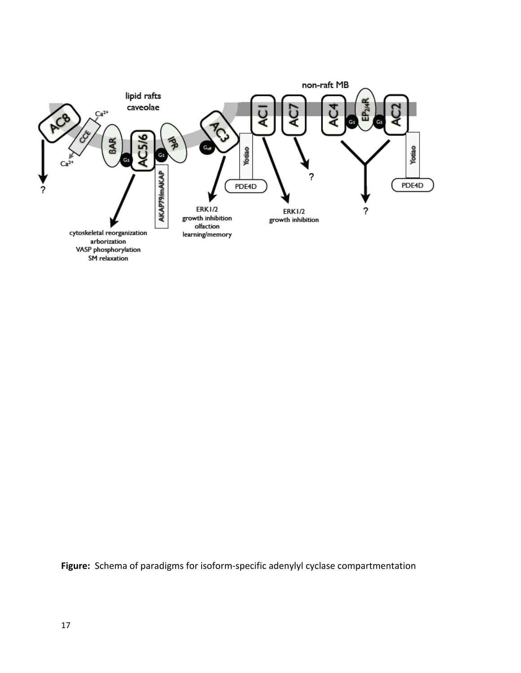

Figure: Schema of paradigms for isoform-specific adenylyl cyclase compartmentation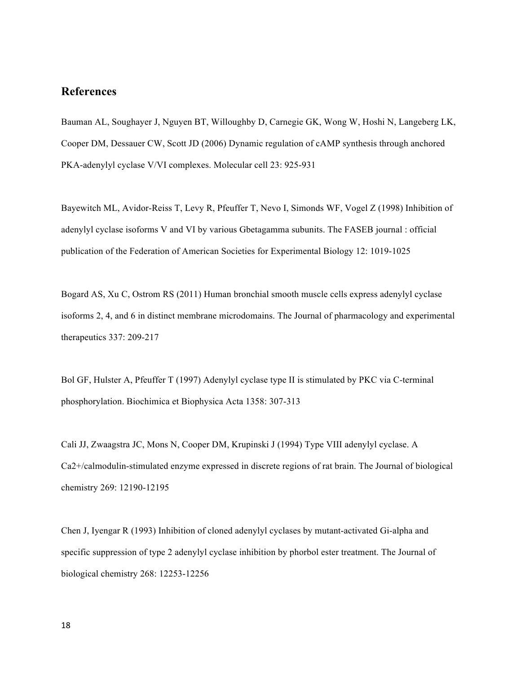### **References**

Bauman AL, Soughayer J, Nguyen BT, Willoughby D, Carnegie GK, Wong W, Hoshi N, Langeberg LK, Cooper DM, Dessauer CW, Scott JD (2006) Dynamic regulation of cAMP synthesis through anchored PKA-adenylyl cyclase V/VI complexes. Molecular cell 23: 925-931

Bayewitch ML, Avidor-Reiss T, Levy R, Pfeuffer T, Nevo I, Simonds WF, Vogel Z (1998) Inhibition of adenylyl cyclase isoforms V and VI by various Gbetagamma subunits. The FASEB journal : official publication of the Federation of American Societies for Experimental Biology 12: 1019-1025

Bogard AS, Xu C, Ostrom RS (2011) Human bronchial smooth muscle cells express adenylyl cyclase isoforms 2, 4, and 6 in distinct membrane microdomains. The Journal of pharmacology and experimental therapeutics 337: 209-217

Bol GF, Hulster A, Pfeuffer T (1997) Adenylyl cyclase type II is stimulated by PKC via C-terminal phosphorylation. Biochimica et Biophysica Acta 1358: 307-313

Cali JJ, Zwaagstra JC, Mons N, Cooper DM, Krupinski J (1994) Type VIII adenylyl cyclase. A Ca2+/calmodulin-stimulated enzyme expressed in discrete regions of rat brain. The Journal of biological chemistry 269: 12190-12195

Chen J, Iyengar R (1993) Inhibition of cloned adenylyl cyclases by mutant-activated Gi-alpha and specific suppression of type 2 adenylyl cyclase inhibition by phorbol ester treatment. The Journal of biological chemistry 268: 12253-12256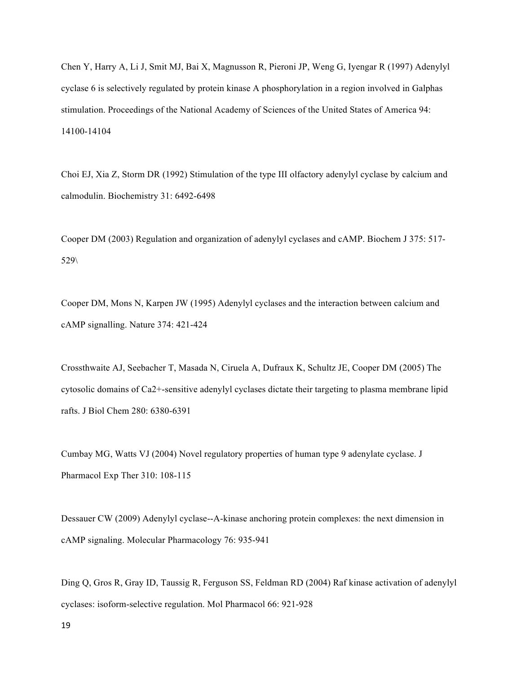Chen Y, Harry A, Li J, Smit MJ, Bai X, Magnusson R, Pieroni JP, Weng G, Iyengar R (1997) Adenylyl cyclase 6 is selectively regulated by protein kinase A phosphorylation in a region involved in Galphas stimulation. Proceedings of the National Academy of Sciences of the United States of America 94: 14100-14104

Choi EJ, Xia Z, Storm DR (1992) Stimulation of the type III olfactory adenylyl cyclase by calcium and calmodulin. Biochemistry 31: 6492-6498

Cooper DM (2003) Regulation and organization of adenylyl cyclases and cAMP. Biochem J 375: 517- 529\

Cooper DM, Mons N, Karpen JW (1995) Adenylyl cyclases and the interaction between calcium and cAMP signalling. Nature 374: 421-424

Crossthwaite AJ, Seebacher T, Masada N, Ciruela A, Dufraux K, Schultz JE, Cooper DM (2005) The cytosolic domains of Ca2+-sensitive adenylyl cyclases dictate their targeting to plasma membrane lipid rafts. J Biol Chem 280: 6380-6391

Cumbay MG, Watts VJ (2004) Novel regulatory properties of human type 9 adenylate cyclase. J Pharmacol Exp Ther 310: 108-115

Dessauer CW (2009) Adenylyl cyclase--A-kinase anchoring protein complexes: the next dimension in cAMP signaling. Molecular Pharmacology 76: 935-941

Ding Q, Gros R, Gray ID, Taussig R, Ferguson SS, Feldman RD (2004) Raf kinase activation of adenylyl cyclases: isoform-selective regulation. Mol Pharmacol 66: 921-928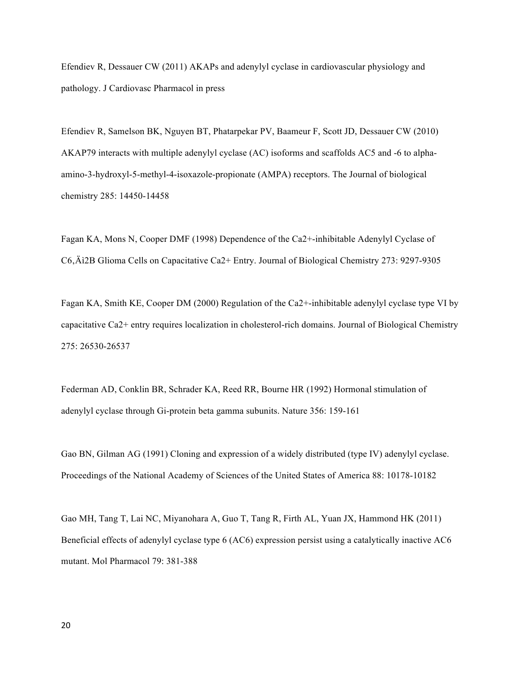Efendiev R, Dessauer CW (2011) AKAPs and adenylyl cyclase in cardiovascular physiology and pathology. J Cardiovasc Pharmacol in press

Efendiev R, Samelson BK, Nguyen BT, Phatarpekar PV, Baameur F, Scott JD, Dessauer CW (2010) AKAP79 interacts with multiple adenylyl cyclase (AC) isoforms and scaffolds AC5 and -6 to alphaamino-3-hydroxyl-5-methyl-4-isoxazole-propionate (AMPA) receptors. The Journal of biological chemistry 285: 14450-14458

Fagan KA, Mons N, Cooper DMF (1998) Dependence of the Ca2+-inhibitable Adenylyl Cyclase of C6,  $\tilde{A}$ i2B Glioma Cells on Capacitative Ca2+ Entry. Journal of Biological Chemistry 273: 9297-9305

Fagan KA, Smith KE, Cooper DM (2000) Regulation of the Ca2+-inhibitable adenylyl cyclase type VI by capacitative Ca2+ entry requires localization in cholesterol-rich domains. Journal of Biological Chemistry 275: 26530-26537

Federman AD, Conklin BR, Schrader KA, Reed RR, Bourne HR (1992) Hormonal stimulation of adenylyl cyclase through Gi-protein beta gamma subunits. Nature 356: 159-161

Gao BN, Gilman AG (1991) Cloning and expression of a widely distributed (type IV) adenylyl cyclase. Proceedings of the National Academy of Sciences of the United States of America 88: 10178-10182

Gao MH, Tang T, Lai NC, Miyanohara A, Guo T, Tang R, Firth AL, Yuan JX, Hammond HK (2011) Beneficial effects of adenylyl cyclase type 6 (AC6) expression persist using a catalytically inactive AC6 mutant. Mol Pharmacol 79: 381-388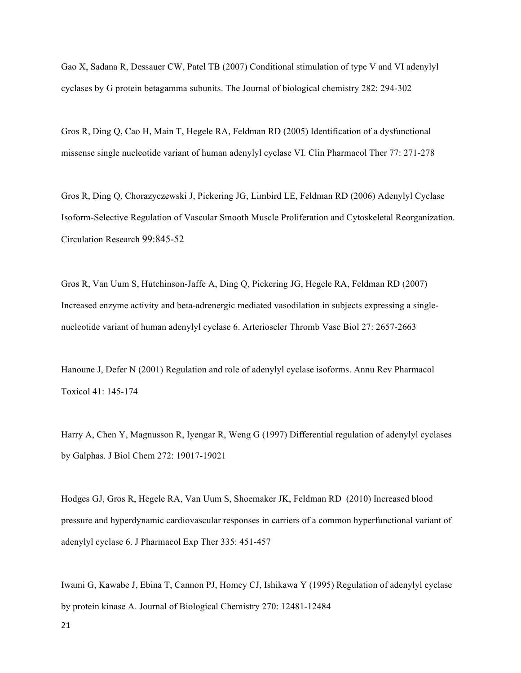Gao X, Sadana R, Dessauer CW, Patel TB (2007) Conditional stimulation of type V and VI adenylyl cyclases by G protein betagamma subunits. The Journal of biological chemistry 282: 294-302

Gros R, Ding Q, Cao H, Main T, Hegele RA, Feldman RD (2005) Identification of a dysfunctional missense single nucleotide variant of human adenylyl cyclase VI. Clin Pharmacol Ther 77: 271-278

Gros R, Ding Q, Chorazyczewski J, Pickering JG, Limbird LE, Feldman RD (2006) Adenylyl Cyclase Isoform-Selective Regulation of Vascular Smooth Muscle Proliferation and Cytoskeletal Reorganization. Circulation Research 99:845-52

Gros R, Van Uum S, Hutchinson-Jaffe A, Ding Q, Pickering JG, Hegele RA, Feldman RD (2007) Increased enzyme activity and beta-adrenergic mediated vasodilation in subjects expressing a singlenucleotide variant of human adenylyl cyclase 6. Arterioscler Thromb Vasc Biol 27: 2657-2663

Hanoune J, Defer N (2001) Regulation and role of adenylyl cyclase isoforms. Annu Rev Pharmacol Toxicol 41: 145-174

Harry A, Chen Y, Magnusson R, Iyengar R, Weng G (1997) Differential regulation of adenylyl cyclases by Galphas. J Biol Chem 272: 19017-19021

Hodges GJ, Gros R, Hegele RA, Van Uum S, Shoemaker JK, Feldman RD (2010) Increased blood pressure and hyperdynamic cardiovascular responses in carriers of a common hyperfunctional variant of adenylyl cyclase 6. J Pharmacol Exp Ther 335: 451-457

Iwami G, Kawabe J, Ebina T, Cannon PJ, Homcy CJ, Ishikawa Y (1995) Regulation of adenylyl cyclase by protein kinase A. Journal of Biological Chemistry 270: 12481-12484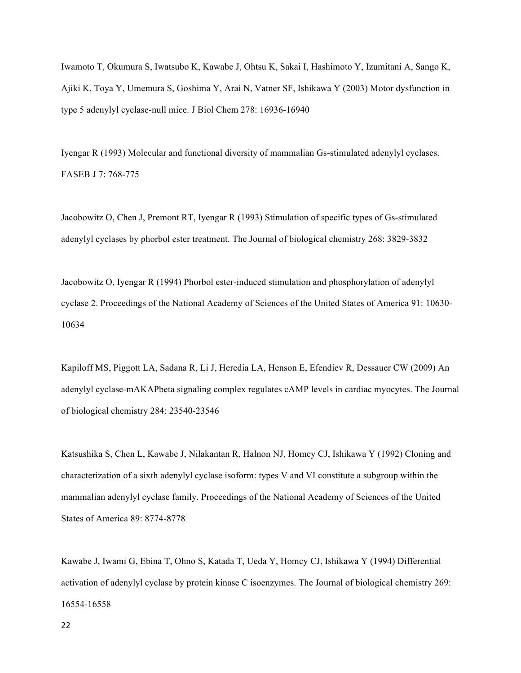Iwamoto T, Okumura S, Iwatsubo K, Kawabe J, Ohtsu K, Sakai I, Hashimoto Y, Izumitani A, Sango K, Ajiki K, Toya Y, Umemura S, Goshima Y, Arai N, Vatner SF, Ishikawa Y (2003) Motor dysfunction in type 5 adenylyl cyclase-null mice. J Biol Chem 278: 16936-16940

Iyengar R (1993) Molecular and functional diversity of mammalian Gs-stimulated adenylyl cyclases. FASEB J 7: 768-775

Jacobowitz O, Chen J, Premont RT, Iyengar R (1993) Stimulation of specific types of Gs-stimulated adenylyl cyclases by phorbol ester treatment. The Journal of biological chemistry 268: 3829-3832

Jacobowitz O, Iyengar R (1994) Phorbol ester-induced stimulation and phosphorylation of adenylyl cyclase 2. Proceedings of the National Academy of Sciences of the United States of America 91: 10630- 10634

Kapiloff MS, Piggott LA, Sadana R, Li J, Heredia LA, Henson E, Efendiev R, Dessauer CW (2009) An adenylyl cyclase-mAKAPbeta signaling complex regulates cAMP levels in cardiac myocytes. The Journal of biological chemistry 284: 23540-23546

Katsushika S, Chen L, Kawabe J, Nilakantan R, Halnon NJ, Homcy CJ, Ishikawa Y (1992) Cloning and characterization of a sixth adenylyl cyclase isoform: types V and VI constitute a subgroup within the mammalian adenylyl cyclase family. Proceedings of the National Academy of Sciences of the United States of America 89: 8774-8778

Kawabe J, Iwami G, Ebina T, Ohno S, Katada T, Ueda Y, Homcy CJ, Ishikawa Y (1994) Differential activation of adenylyl cyclase by protein kinase C isoenzymes. The Journal of biological chemistry 269: 16554-16558

22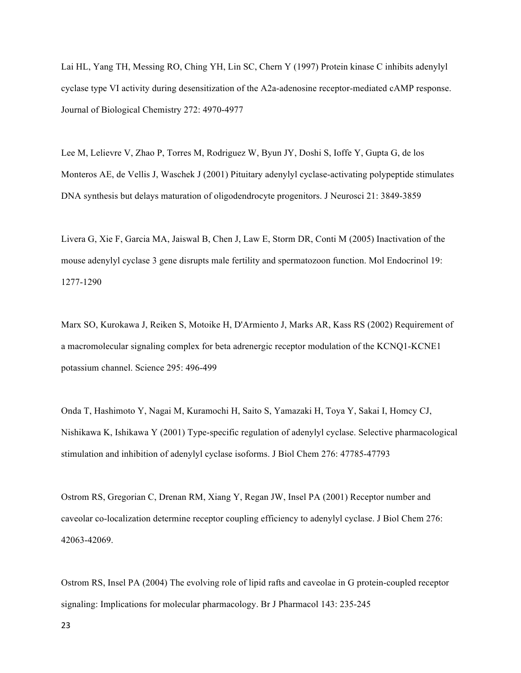Lai HL, Yang TH, Messing RO, Ching YH, Lin SC, Chern Y (1997) Protein kinase C inhibits adenylyl cyclase type VI activity during desensitization of the A2a-adenosine receptor-mediated cAMP response. Journal of Biological Chemistry 272: 4970-4977

Lee M, Lelievre V, Zhao P, Torres M, Rodriguez W, Byun JY, Doshi S, Ioffe Y, Gupta G, de los Monteros AE, de Vellis J, Waschek J (2001) Pituitary adenylyl cyclase-activating polypeptide stimulates DNA synthesis but delays maturation of oligodendrocyte progenitors. J Neurosci 21: 3849-3859

Livera G, Xie F, Garcia MA, Jaiswal B, Chen J, Law E, Storm DR, Conti M (2005) Inactivation of the mouse adenylyl cyclase 3 gene disrupts male fertility and spermatozoon function. Mol Endocrinol 19: 1277-1290

Marx SO, Kurokawa J, Reiken S, Motoike H, D'Armiento J, Marks AR, Kass RS (2002) Requirement of a macromolecular signaling complex for beta adrenergic receptor modulation of the KCNQ1-KCNE1 potassium channel. Science 295: 496-499

Onda T, Hashimoto Y, Nagai M, Kuramochi H, Saito S, Yamazaki H, Toya Y, Sakai I, Homcy CJ, Nishikawa K, Ishikawa Y (2001) Type-specific regulation of adenylyl cyclase. Selective pharmacological stimulation and inhibition of adenylyl cyclase isoforms. J Biol Chem 276: 47785-47793

Ostrom RS, Gregorian C, Drenan RM, Xiang Y, Regan JW, Insel PA (2001) Receptor number and caveolar co-localization determine receptor coupling efficiency to adenylyl cyclase. J Biol Chem 276: 42063-42069.

Ostrom RS, Insel PA (2004) The evolving role of lipid rafts and caveolae in G protein-coupled receptor signaling: Implications for molecular pharmacology. Br J Pharmacol 143: 235-245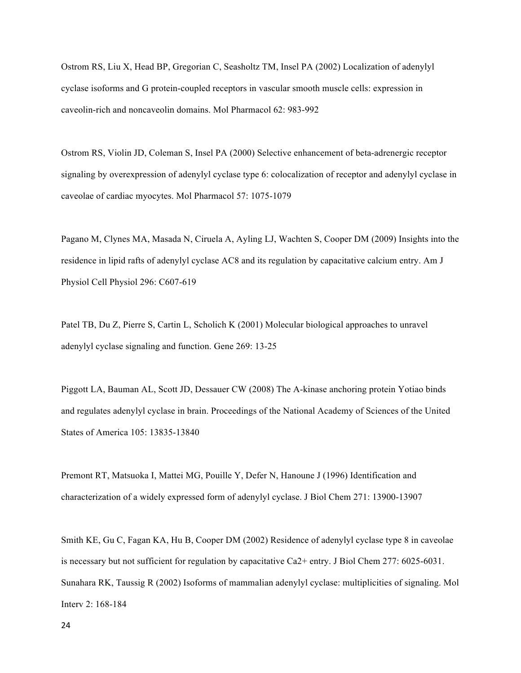Ostrom RS, Liu X, Head BP, Gregorian C, Seasholtz TM, Insel PA (2002) Localization of adenylyl cyclase isoforms and G protein-coupled receptors in vascular smooth muscle cells: expression in caveolin-rich and noncaveolin domains. Mol Pharmacol 62: 983-992

Ostrom RS, Violin JD, Coleman S, Insel PA (2000) Selective enhancement of beta-adrenergic receptor signaling by overexpression of adenylyl cyclase type 6: colocalization of receptor and adenylyl cyclase in caveolae of cardiac myocytes. Mol Pharmacol 57: 1075-1079

Pagano M, Clynes MA, Masada N, Ciruela A, Ayling LJ, Wachten S, Cooper DM (2009) Insights into the residence in lipid rafts of adenylyl cyclase AC8 and its regulation by capacitative calcium entry. Am J Physiol Cell Physiol 296: C607-619

Patel TB, Du Z, Pierre S, Cartin L, Scholich K (2001) Molecular biological approaches to unravel adenylyl cyclase signaling and function. Gene 269: 13-25

Piggott LA, Bauman AL, Scott JD, Dessauer CW (2008) The A-kinase anchoring protein Yotiao binds and regulates adenylyl cyclase in brain. Proceedings of the National Academy of Sciences of the United States of America 105: 13835-13840

Premont RT, Matsuoka I, Mattei MG, Pouille Y, Defer N, Hanoune J (1996) Identification and characterization of a widely expressed form of adenylyl cyclase. J Biol Chem 271: 13900-13907

Smith KE, Gu C, Fagan KA, Hu B, Cooper DM (2002) Residence of adenylyl cyclase type 8 in caveolae is necessary but not sufficient for regulation by capacitative Ca2+ entry. J Biol Chem 277: 6025-6031. Sunahara RK, Taussig R (2002) Isoforms of mammalian adenylyl cyclase: multiplicities of signaling. Mol Interv 2: 168-184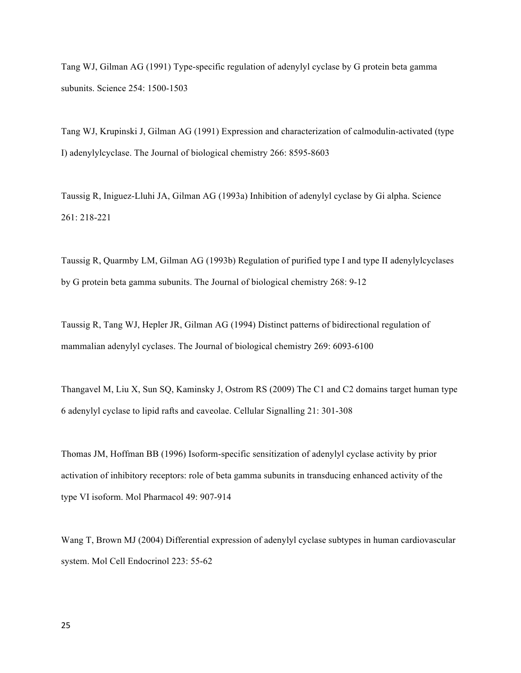Tang WJ, Gilman AG (1991) Type-specific regulation of adenylyl cyclase by G protein beta gamma subunits. Science 254: 1500-1503

Tang WJ, Krupinski J, Gilman AG (1991) Expression and characterization of calmodulin-activated (type I) adenylylcyclase. The Journal of biological chemistry 266: 8595-8603

Taussig R, Iniguez-Lluhi JA, Gilman AG (1993a) Inhibition of adenylyl cyclase by Gi alpha. Science 261: 218-221

Taussig R, Quarmby LM, Gilman AG (1993b) Regulation of purified type I and type II adenylylcyclases by G protein beta gamma subunits. The Journal of biological chemistry 268: 9-12

Taussig R, Tang WJ, Hepler JR, Gilman AG (1994) Distinct patterns of bidirectional regulation of mammalian adenylyl cyclases. The Journal of biological chemistry 269: 6093-6100

Thangavel M, Liu X, Sun SQ, Kaminsky J, Ostrom RS (2009) The C1 and C2 domains target human type 6 adenylyl cyclase to lipid rafts and caveolae. Cellular Signalling 21: 301-308

Thomas JM, Hoffman BB (1996) Isoform-specific sensitization of adenylyl cyclase activity by prior activation of inhibitory receptors: role of beta gamma subunits in transducing enhanced activity of the type VI isoform. Mol Pharmacol 49: 907-914

Wang T, Brown MJ (2004) Differential expression of adenylyl cyclase subtypes in human cardiovascular system. Mol Cell Endocrinol 223: 55-62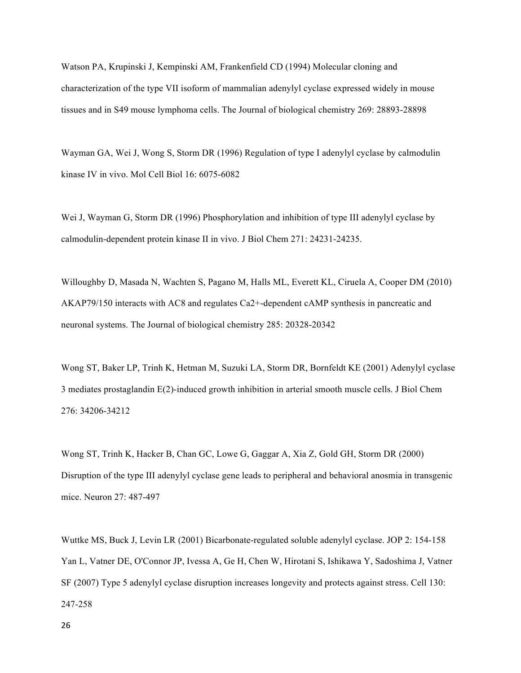Watson PA, Krupinski J, Kempinski AM, Frankenfield CD (1994) Molecular cloning and characterization of the type VII isoform of mammalian adenylyl cyclase expressed widely in mouse tissues and in S49 mouse lymphoma cells. The Journal of biological chemistry 269: 28893-28898

Wayman GA, Wei J, Wong S, Storm DR (1996) Regulation of type I adenylyl cyclase by calmodulin kinase IV in vivo. Mol Cell Biol 16: 6075-6082

Wei J, Wayman G, Storm DR (1996) Phosphorylation and inhibition of type III adenylyl cyclase by calmodulin-dependent protein kinase II in vivo. J Biol Chem 271: 24231-24235.

Willoughby D, Masada N, Wachten S, Pagano M, Halls ML, Everett KL, Ciruela A, Cooper DM (2010) AKAP79/150 interacts with AC8 and regulates Ca2+-dependent cAMP synthesis in pancreatic and neuronal systems. The Journal of biological chemistry 285: 20328-20342

Wong ST, Baker LP, Trinh K, Hetman M, Suzuki LA, Storm DR, Bornfeldt KE (2001) Adenylyl cyclase 3 mediates prostaglandin E(2)-induced growth inhibition in arterial smooth muscle cells. J Biol Chem 276: 34206-34212

Wong ST, Trinh K, Hacker B, Chan GC, Lowe G, Gaggar A, Xia Z, Gold GH, Storm DR (2000) Disruption of the type III adenylyl cyclase gene leads to peripheral and behavioral anosmia in transgenic mice. Neuron 27: 487-497

Wuttke MS, Buck J, Levin LR (2001) Bicarbonate-regulated soluble adenylyl cyclase. JOP 2: 154-158 Yan L, Vatner DE, O'Connor JP, Ivessa A, Ge H, Chen W, Hirotani S, Ishikawa Y, Sadoshima J, Vatner SF (2007) Type 5 adenylyl cyclase disruption increases longevity and protects against stress. Cell 130: 247-258